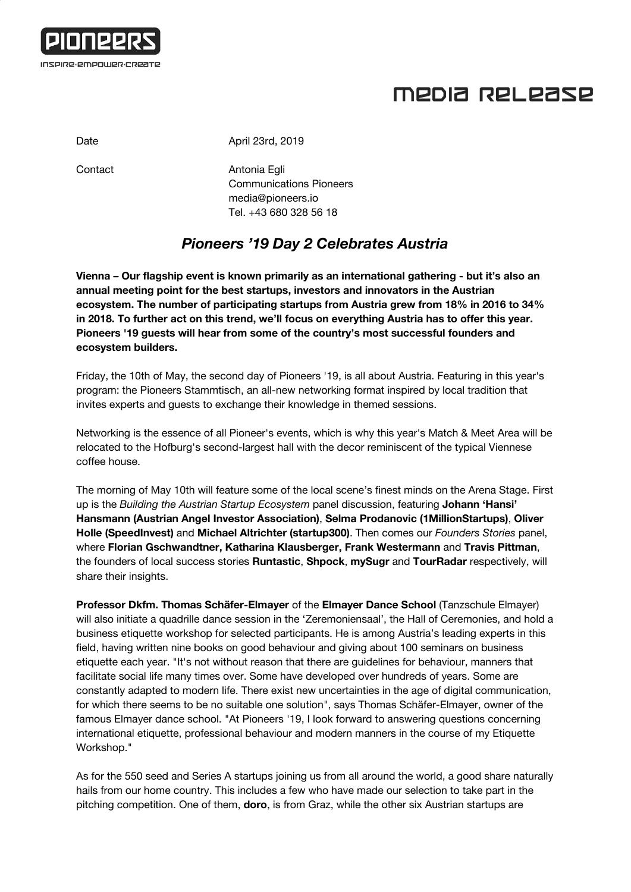

## MEDIA RELEASE

Date **April 23rd, 2019** 

Contact **Antonia Egli** Communications Pioneers [media@pioneers.io](mailto:media@pioneers.io) Tel. +43 680 328 56 18

## *Pioneers '19 Day 2 Celebrates Austria*

**Vienna – Our flagship event is known primarily as an international gathering - but it's also an annual meeting point for the best startups, investors and innovators in the Austrian ecosystem. The number of participating startups from Austria grew from 18% in 2016 to 34% in 2018. To further act on this trend, we'll focus on everything Austria has to offer this year. Pioneers '19 guests will hear from some of the country's most successful founders and ecosystem builders.**

Friday, the 10th of May, the second day of Pioneers '19, is all about Austria. Featuring in this year's program: the Pioneers Stammtisch, an all-new networking format inspired by local tradition that invites experts and guests to exchange their knowledge in themed sessions.

Networking is the essence of all Pioneer's events, which is why this year's Match & Meet Area will be relocated to the Hofburg's second-largest hall with the decor reminiscent of the typical Viennese coffee house.

The morning of May 10th will feature some of the local scene's finest minds on the Arena Stage. First up is the *Building the Austrian Startup Ecosystem* panel discussion, featuring **Johann 'Hansi' Hansmann (Austrian Angel Investor Association)**, **Selma Prodanovic (1MillionStartups)**, **Oliver Holle (SpeedInvest)** and **Michael Altrichter (startup300)**. Then comes our *Founders Stories* panel, where **Florian Gschwandtner, Katharina Klausberger, Frank Westermann** and **Travis Pittman**, the founders of local success stories **Runtastic**, **Shpock**, **mySugr** and **TourRadar** respectively, will share their insights.

**Professor Dkfm. Thomas Schäfer-Elmayer** of the **Elmayer Dance School** (Tanzschule Elmayer) will also initiate a quadrille dance session in the 'Zeremoniensaal', the Hall of Ceremonies, and hold a business etiquette workshop for selected participants. He is among Austria's leading experts in this field, having written nine books on good behaviour and giving about 100 seminars on business etiquette each year. "It's not without reason that there are guidelines for behaviour, manners that facilitate social life many times over. Some have developed over hundreds of years. Some are constantly adapted to modern life. There exist new uncertainties in the age of digital communication, for which there seems to be no suitable one solution", says Thomas Schäfer-Elmayer, owner of the famous Elmayer dance school. "At Pioneers '19, I look forward to answering questions concerning international etiquette, professional behaviour and modern manners in the course of my Etiquette Workshop."

As for the 550 seed and Series A startups joining us from all around the world, a good share naturally hails from our home country. This includes a few who have made our selection to take part in the pitching competition. One of them, **doro**, is from Graz, while the other six Austrian startups are